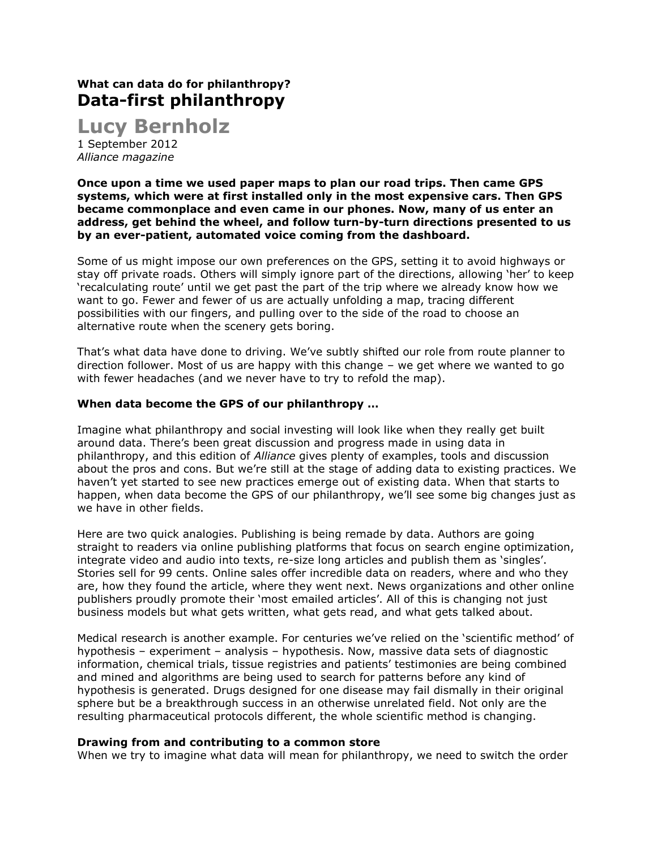# **What can data do for philanthropy? Data-first philanthropy**

**Lucy Bernholz** 1 September 2012

*Alliance magazine*

**Once upon a time we used paper maps to plan our road trips. Then came GPS systems, which were at first installed only in the most expensive cars. Then GPS became commonplace and even came in our phones. Now, many of us enter an address, get behind the wheel, and follow turn-by-turn directions presented to us by an ever-patient, automated voice coming from the dashboard.**

Some of us might impose our own preferences on the GPS, setting it to avoid highways or stay off private roads. Others will simply ignore part of the directions, allowing 'her' to keep 'recalculating route' until we get past the part of the trip where we already know how we want to go. Fewer and fewer of us are actually unfolding a map, tracing different possibilities with our fingers, and pulling over to the side of the road to choose an alternative route when the scenery gets boring.

That's what data have done to driving. We've subtly shifted our role from route planner to direction follower. Most of us are happy with this change – we get where we wanted to go with fewer headaches (and we never have to try to refold the map).

## **When data become the GPS of our philanthropy …**

Imagine what philanthropy and social investing will look like when they really get built around data. There's been great discussion and progress made in using data in philanthropy, and this edition of *Alliance* gives plenty of examples, tools and discussion about the pros and cons. But we're still at the stage of adding data to existing practices. We haven't yet started to see new practices emerge out of existing data. When that starts to happen, when data become the GPS of our philanthropy, we'll see some big changes just as we have in other fields.

Here are two quick analogies. Publishing is being remade by data. Authors are going straight to readers via online publishing platforms that focus on search engine optimization, integrate video and audio into texts, re-size long articles and publish them as 'singles'. Stories sell for 99 cents. Online sales offer incredible data on readers, where and who they are, how they found the article, where they went next. News organizations and other online publishers proudly promote their 'most emailed articles'. All of this is changing not just business models but what gets written, what gets read, and what gets talked about.

Medical research is another example. For centuries we've relied on the 'scientific method' of hypothesis – experiment – analysis – hypothesis. Now, massive data sets of diagnostic information, chemical trials, tissue registries and patients' testimonies are being combined and mined and algorithms are being used to search for patterns before any kind of hypothesis is generated. Drugs designed for one disease may fail dismally in their original sphere but be a breakthrough success in an otherwise unrelated field. Not only are the resulting pharmaceutical protocols different, the whole scientific method is changing.

## **Drawing from and contributing to a common store**

When we try to imagine what data will mean for philanthropy, we need to switch the order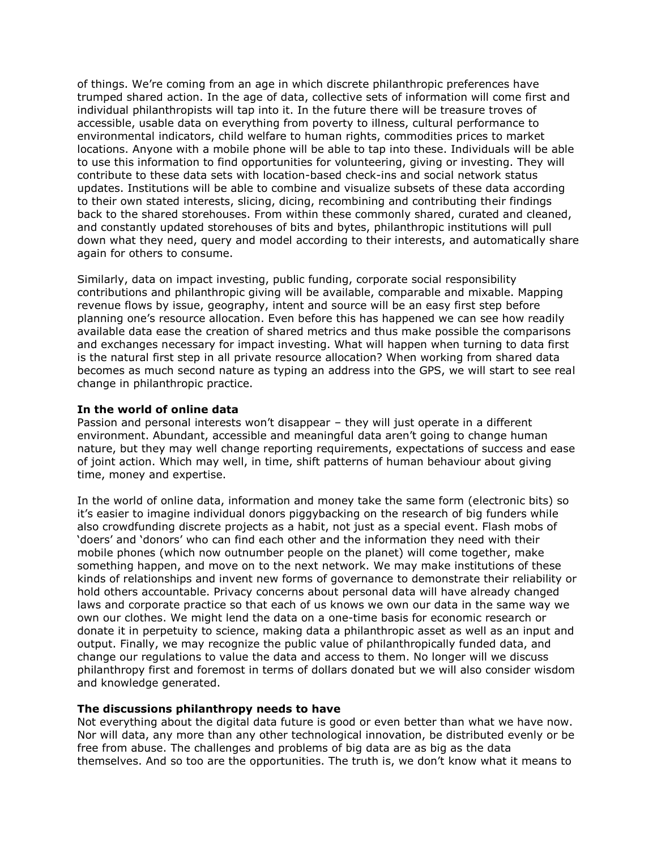of things. We're coming from an age in which discrete philanthropic preferences have trumped shared action. In the age of data, collective sets of information will come first and individual philanthropists will tap into it. In the future there will be treasure troves of accessible, usable data on everything from poverty to illness, cultural performance to environmental indicators, child welfare to human rights, commodities prices to market locations. Anyone with a mobile phone will be able to tap into these. Individuals will be able to use this information to find opportunities for volunteering, giving or investing. They will contribute to these data sets with location-based check-ins and social network status updates. Institutions will be able to combine and visualize subsets of these data according to their own stated interests, slicing, dicing, recombining and contributing their findings back to the shared storehouses. From within these commonly shared, curated and cleaned, and constantly updated storehouses of bits and bytes, philanthropic institutions will pull down what they need, query and model according to their interests, and automatically share again for others to consume.

Similarly, data on impact investing, public funding, corporate social responsibility contributions and philanthropic giving will be available, comparable and mixable. Mapping revenue flows by issue, geography, intent and source will be an easy first step before planning one's resource allocation. Even before this has happened we can see how readily available data ease the creation of shared metrics and thus make possible the comparisons and exchanges necessary for impact investing. What will happen when turning to data first is the natural first step in all private resource allocation? When working from shared data becomes as much second nature as typing an address into the GPS, we will start to see real change in philanthropic practice.

## **In the world of online data**

Passion and personal interests won't disappear – they will just operate in a different environment. Abundant, accessible and meaningful data aren't going to change human nature, but they may well change reporting requirements, expectations of success and ease of joint action. Which may well, in time, shift patterns of human behaviour about giving time, money and expertise.

In the world of online data, information and money take the same form (electronic bits) so it's easier to imagine individual donors piggybacking on the research of big funders while also crowdfunding discrete projects as a habit, not just as a special event. Flash mobs of 'doers' and 'donors' who can find each other and the information they need with their mobile phones (which now outnumber people on the planet) will come together, make something happen, and move on to the next network. We may make institutions of these kinds of relationships and invent new forms of governance to demonstrate their reliability or hold others accountable. Privacy concerns about personal data will have already changed laws and corporate practice so that each of us knows we own our data in the same way we own our clothes. We might lend the data on a one-time basis for economic research or donate it in perpetuity to science, making data a philanthropic asset as well as an input and output. Finally, we may recognize the public value of philanthropically funded data, and change our regulations to value the data and access to them. No longer will we discuss philanthropy first and foremost in terms of dollars donated but we will also consider wisdom and knowledge generated.

### **The discussions philanthropy needs to have**

Not everything about the digital data future is good or even better than what we have now. Nor will data, any more than any other technological innovation, be distributed evenly or be free from abuse. The challenges and problems of big data are as big as the data themselves. And so too are the opportunities. The truth is, we don't know what it means to